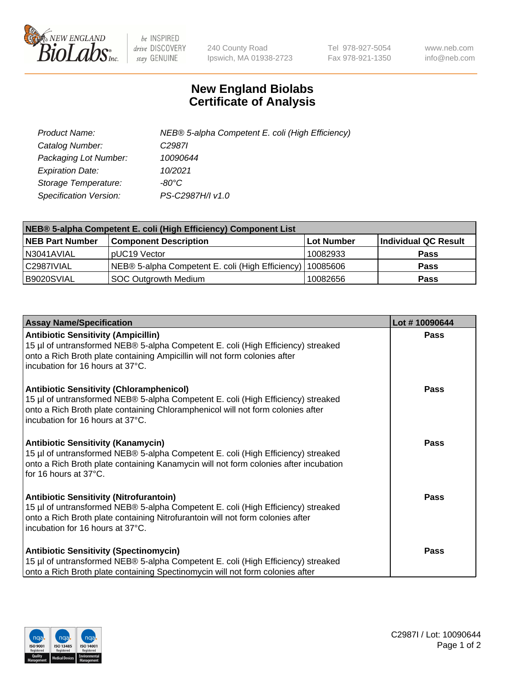

 $be$  INSPIRED drive DISCOVERY stay GENUINE

240 County Road Ipswich, MA 01938-2723 Tel 978-927-5054 Fax 978-921-1350 www.neb.com info@neb.com

## **New England Biolabs Certificate of Analysis**

| Product Name:           | NEB® 5-alpha Competent E. coli (High Efficiency) |
|-------------------------|--------------------------------------------------|
| Catalog Number:         | C <sub>2987</sub>                                |
| Packaging Lot Number:   | 10090644                                         |
| <b>Expiration Date:</b> | 10/2021                                          |
| Storage Temperature:    | -80°C                                            |
| Specification Version:  | PS-C2987H/I v1.0                                 |

| NEB® 5-alpha Competent E. coli (High Efficiency) Component List |                                                  |            |                      |  |
|-----------------------------------------------------------------|--------------------------------------------------|------------|----------------------|--|
| <b>NEB Part Number</b>                                          | <b>Component Description</b>                     | Lot Number | Individual QC Result |  |
| N3041AVIAL                                                      | pUC19 Vector                                     | 10082933   | <b>Pass</b>          |  |
| C2987IVIAL                                                      | NEB® 5-alpha Competent E. coli (High Efficiency) | 10085606   | <b>Pass</b>          |  |
| B9020SVIAL                                                      | <b>SOC Outgrowth Medium</b>                      | 10082656   | <b>Pass</b>          |  |

| <b>Assay Name/Specification</b>                                                                                                                                                                                                                            | Lot #10090644 |
|------------------------------------------------------------------------------------------------------------------------------------------------------------------------------------------------------------------------------------------------------------|---------------|
| <b>Antibiotic Sensitivity (Ampicillin)</b><br>15 µl of untransformed NEB® 5-alpha Competent E. coli (High Efficiency) streaked<br>onto a Rich Broth plate containing Ampicillin will not form colonies after<br>incubation for 16 hours at 37°C.           | Pass          |
| <b>Antibiotic Sensitivity (Chloramphenicol)</b><br>15 µl of untransformed NEB® 5-alpha Competent E. coli (High Efficiency) streaked<br>onto a Rich Broth plate containing Chloramphenicol will not form colonies after<br>incubation for 16 hours at 37°C. | Pass          |
| <b>Antibiotic Sensitivity (Kanamycin)</b><br>15 µl of untransformed NEB® 5-alpha Competent E. coli (High Efficiency) streaked<br>onto a Rich Broth plate containing Kanamycin will not form colonies after incubation<br>for 16 hours at 37°C.             | Pass          |
| <b>Antibiotic Sensitivity (Nitrofurantoin)</b><br>15 µl of untransformed NEB® 5-alpha Competent E. coli (High Efficiency) streaked<br>onto a Rich Broth plate containing Nitrofurantoin will not form colonies after<br>incubation for 16 hours at 37°C.   | <b>Pass</b>   |
| <b>Antibiotic Sensitivity (Spectinomycin)</b><br>15 µl of untransformed NEB® 5-alpha Competent E. coli (High Efficiency) streaked<br>onto a Rich Broth plate containing Spectinomycin will not form colonies after                                         | Pass          |